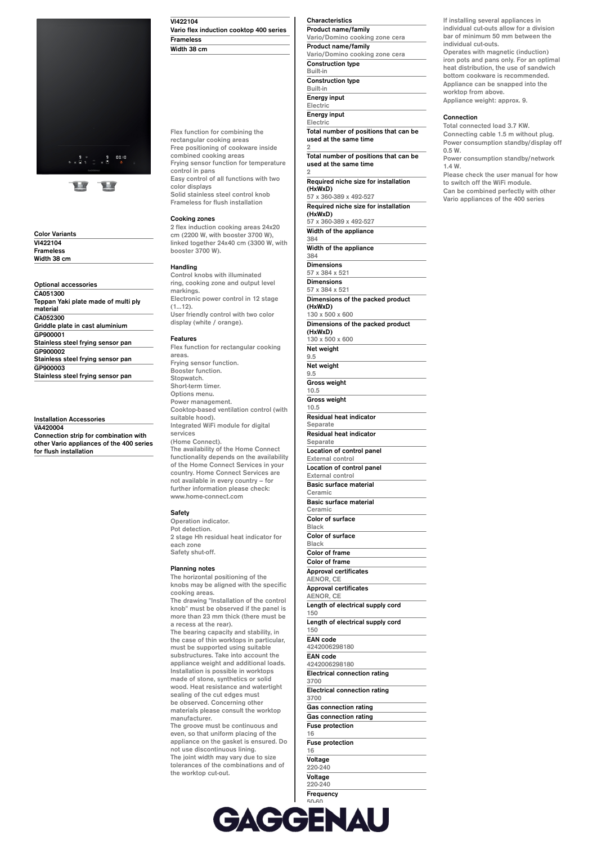

**Color Variants VI422104 Frameless Width 38 cm**

**Optional accessories CA051300 Teppan Yaki plate made of multi ply material CA052300 Griddle plate in cast aluminium GP900001 Stainless steel frying sensor pan GP900002 Stainless steel frying sensor pan GP900003 Stainless steel frying sensor pan**

# **Installation Accessories**

**VA420004 Connection strip for combination with other Vario appliances of the 400 series for flush installation**

**VI422104 Vario flex induction cooktop 400 series Frameless Width 38 cm**

**Flex function for combining the rectangular cooking areas Free positioning of cookware inside combined cooking areas Frying sensor function for temperature control in pans Easy control of all functions with two color displays Solid stainless steel control knob Frameless for flush installation**

# **Cooking zones**

**2 flex induction cooking areas 24x20 cm (2200 W, with booster 3700 W), linked together 24x40 cm (3300 W, with booster 3700 W).**

#### **Handling**

**Control knobs with illuminated ring, cooking zone and output level markings. Electronic power control in 12 stage (1…12). User friendly control with two color display (white / orange).**

#### **Features**

**Flex function for rectangular cooking areas. Frying sensor function. Booster function. Stopwatch. Short-term timer. Options menu. Power management. Cooktop-based ventilation control (with suitable hood). Integrated WiFi module for digital services (Home Connect). The availability of the Home Connect functionality depends on the availability of the Home Connect Services in your country. Home Connect Services are not available in every country – for further information please check: www.home-connect.com**

#### **Safety**

**Operation indicator. Pot detection. 2 stage Hh residual heat indicator for each zone Safety shut-off.**

## **Planning notes**

**The horizontal positioning of the knobs may be aligned with the specific cooking areas. The drawing "Installation of the control knob" must be observed if the panel is more than 23 mm thick (there must be a recess at the rear). The bearing capacity and stability, in the case of thin worktops in particular, must be supported using suitable substructures. Take into account the appliance weight and additional loads. Installation is possible in worktops made of stone, synthetics or solid wood. Heat resistance and watertight sealing of the cut edges must be observed. Concerning other materials please consult the worktop manufacturer. The groove must be continuous and even, so that uniform placing of the appliance on the gasket is ensured. Do not use discontinuous lining. The joint width may vary due to size tolerances of the combinations and of the worktop cut-out.**

## **Characteristics Product name/family**

**Vario/Domino cooking zone cera Product name/family Vario/Domino cooking zone cera Construction type Built-in**

**Construction type Built-in**

**Energy input Electric**

**2**

**Energy input**

**Electric Total number of positions that can be used at the same time 2**

**Total number of positions that can be used at the same time**

**Required niche size for installation (HxWxD)**

**57 x 360-389 x 492-527 Required niche size for installation**

**(HxWxD) 57 x 360-389 x 492-527 Width of the appliance**

**384 Width of the appliance**

**384**

**Dimensions 57 x 384 x 521**

**Dimensions 57 x 384 x 521**

**Dimensions of the packed product (HxWxD)**

**130 x 500 x 600 Dimensions of the packed product (HxWxD)**

**130 x 500 x 600 Net weight**

**9.5 Net weight 9.5 Gross weight 10.5 Gross weight**

**10.5 Residual heat indicator**

**Separate**

**Residual heat indicator Separate Location of control panel External control** 

**Location of control panel External control Basic surface material**

**Ceramic Basic surface material**

**Ceramic Color of surface**

**Black Color of surface**

**Black Color of frame**

**Color of frame Approval certificates**

**AENOR, CE Approval certificates**

**AENOR, CE**

**Length of electrical supply cord 150 Length of electrical supply cord**

**150**

**EAN code 4242006298180 EAN code**

**4242006298180 Electrical connection rating**

**3700 Electrical connection rating**

**3700 Gas connection rating Gas connection rating**

**Fuse protection 16**

**Fuse protection 16 Voltage**

**220-240 Voltage 220-240 Frequency** **If installing several appliances in individual cut-outs allow for a division bar of minimum 50 mm between the individual cut-outs. Operates with magnetic (induction)**

**iron pots and pans only. For an optimal heat distribution, the use of sandwich bottom cookware is recommended. Appliance can be snapped into the worktop from above. Appliance weight: approx. 9.**

## **Connection**

**Total connected load 3.7 KW. Connecting cable 1.5 m without plug. Power consumption standby/display off 0.5 W.**

**Power consumption standby/network 1.4 W.**

**Please check the user manual for how to switch off the WiFi module. Can be combined perfectly with other Vario appliances of the 400 series**